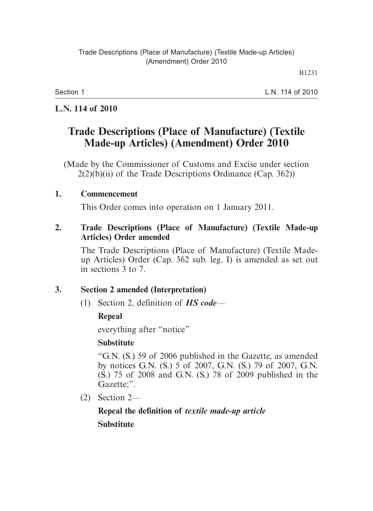Section 1

L.N. 114 of 2010

#### **L.N. 114 of 2010**

# **Trade Descriptions (Place of Manufacture) (Textile Made-up Articles) (Amendment) Order 2010**

(Made by the Commissioner of Customs and Excise under section  $2(2)(b)(ii)$  of the Trade Descriptions Ordinance (Cap. 362))

## **1. Commencement**

This Order comes into operation on 1 January 2011.

#### **2. Trade Descriptions (Place of Manufacture) (Textile Made-up Articles) Order amended**

The Trade Descriptions (Place of Manufacture) (Textile Madeup Articles) Order (Cap. 362 sub. leg. I) is amended as set out in sections 3 to 7.

## **3. Section 2 amended (Interpretation)**

(1) Section 2, definition of *HS code*—

## **Repeal**

everything after "notice"

## **Substitute**

"G.N. (S.) 59 of 2006 published in the Gazette, as amended by notices G.N. (S.) 5 of 2007, G.N. (S.) 79 of 2007, G.N. (S.) 75 of 2008 and G.N. (S.) 78 of 2009 published in the Gazette;".

(2) Section 2—

# **Repeal the definition of** *textile made-up article*

## **Substitute**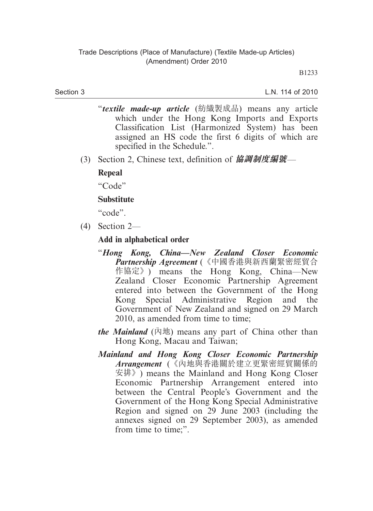#### Section 3

L.N. 114 of 2010

- "*textile made-up article* (紡織製成品) means any article which under the Hong Kong Imports and Exports Classification List (Harmonized System) has been assigned an HS code the first 6 digits of which are specified in the Schedule.".
- (3) Section 2, Chinese text, definition of **協調制度編號**—

#### **Repeal**

"Code"

#### **Substitute**

"code".

(4) Section 2—

#### **Add in alphabetical order**

- "*Hong Kong, China—New Zealand Closer Economic Partnership Agreement* (《中國香港與新西蘭緊密經貿合 作協定》) means the Hong Kong, China—New Zealand Closer Economic Partnership Agreement entered into between the Government of the Hong Kong Special Administrative Region and the Government of New Zealand and signed on 29 March 2010, as amended from time to time;
- *the Mainland*  $(\bar{\uparrow} \uparrow \downarrow \uparrow)$  means any part of China other than Hong Kong, Macau and Taiwan;
- *Mainland and Hong Kong Closer Economic Partnership Arrangement* (《內地與香港關於建立更緊密經貿關係的 安排》) means the Mainland and Hong Kong Closer Economic Partnership Arrangement entered into between the Central People's Government and the Government of the Hong Kong Special Administrative Region and signed on 29 June 2003 (including the annexes signed on 29 September 2003), as amended from time to time;".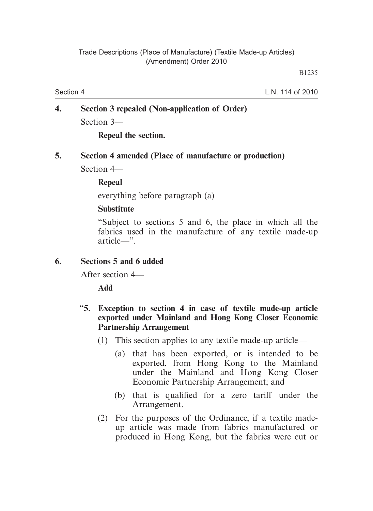Section 4

L.N. 114 of 2010

## **4. Section 3 repealed (Non-application of Order)** Section 3—

**Repeal the section.**

#### **5. Section 4 amended (Place of manufacture or production)**

Section 4—

#### **Repeal**

everything before paragraph (a)

#### **Substitute**

"Subject to sections 5 and 6, the place in which all the fabrics used in the manufacture of any textile made-up article—".

#### **6. Sections 5 and 6 added**

After section 4—

**Add**

#### "**5. Exception to section 4 in case of textile made-up article exported under Mainland and Hong Kong Closer Economic Partnership Arrangement**

- (1) This section applies to any textile made-up article—
	- (a) that has been exported, or is intended to be exported, from Hong Kong to the Mainland under the Mainland and Hong Kong Closer Economic Partnership Arrangement; and
	- (b) that is qualified for a zero tariff under the Arrangement.
- (2) For the purposes of the Ordinance, if a textile madeup article was made from fabrics manufactured or produced in Hong Kong, but the fabrics were cut or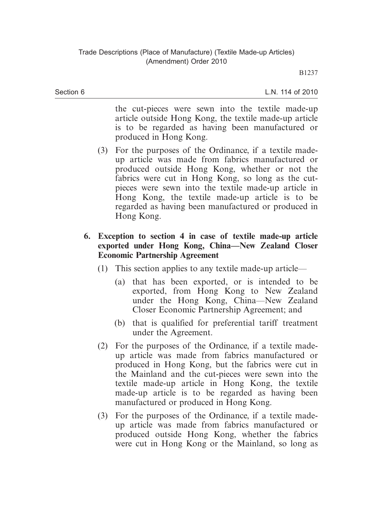Section 6

L.N. 114 of 2010

the cut-pieces were sewn into the textile made-up article outside Hong Kong, the textile made-up article is to be regarded as having been manufactured or produced in Hong Kong.

- (3) For the purposes of the Ordinance, if a textile madeup article was made from fabrics manufactured or produced outside Hong Kong, whether or not the fabrics were cut in Hong Kong, so long as the cutpieces were sewn into the textile made-up article in Hong Kong, the textile made-up article is to be regarded as having been manufactured or produced in Hong Kong.
- **6. Exception to section 4 in case of textile made-up article exported under Hong Kong, China—New Zealand Closer Economic Partnership Agreement** 
	- (1) This section applies to any textile made-up article—
		- (a) that has been exported, or is intended to be exported, from Hong Kong to New Zealand under the Hong Kong, China—New Zealand Closer Economic Partnership Agreement; and
		- (b) that is qualified for preferential tariff treatment under the Agreement.
	- (2) For the purposes of the Ordinance, if a textile madeup article was made from fabrics manufactured or produced in Hong Kong, but the fabrics were cut in the Mainland and the cut-pieces were sewn into the textile made-up article in Hong Kong, the textile made-up article is to be regarded as having been manufactured or produced in Hong Kong.
	- (3) For the purposes of the Ordinance, if a textile madeup article was made from fabrics manufactured or produced outside Hong Kong, whether the fabrics were cut in Hong Kong or the Mainland, so long as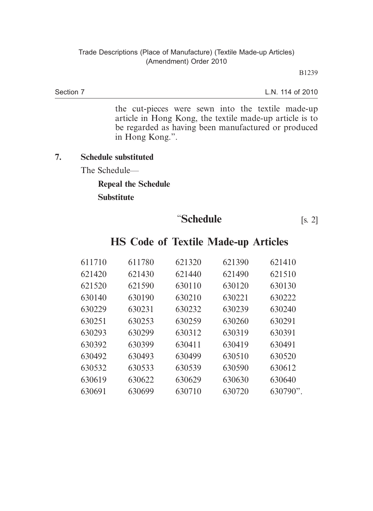Section 7

L.N. 114 of 2010

the cut-pieces were sewn into the textile made-up article in Hong Kong, the textile made-up article is to be regarded as having been manufactured or produced in Hong Kong.".

#### **7. Schedule substituted**

The Schedule—

# **Repeal the Schedule**

**Substitute**

**"Schedule** [s. 2]

| 611710 | 611780 | 621320 | 621390 | 621410      |
|--------|--------|--------|--------|-------------|
| 621420 | 621430 | 621440 | 621490 | 621510      |
| 621520 | 621590 | 630110 | 630120 | 630130      |
| 630140 | 630190 | 630210 | 630221 | 630222      |
| 630229 | 630231 | 630232 | 630239 | 630240      |
| 630251 | 630253 | 630259 | 630260 | 630291      |
| 630293 | 630299 | 630312 | 630319 | 630391      |
| 630392 | 630399 | 630411 | 630419 | 630491      |
| 630492 | 630493 | 630499 | 630510 | 630520      |
| 630532 | 630533 | 630539 | 630590 | 630612      |
| 630619 | 630622 | 630629 | 630630 | 630640      |
| 630691 | 630699 | 630710 | 630720 | $630790$ ". |

## **HS Code of Textile Made-up Articles**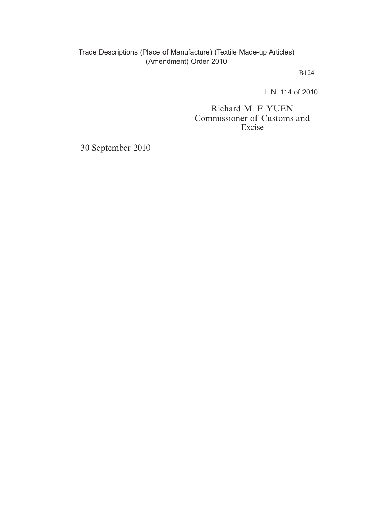#### Trade Descriptions (Place of Manufacture) (Textile Made-up Articles) (Amendment) Order 2010

B1241

L.N. 114 of 2010

Richard M. F. YUEN Commissioner of Customs and Excise

30 September 2010